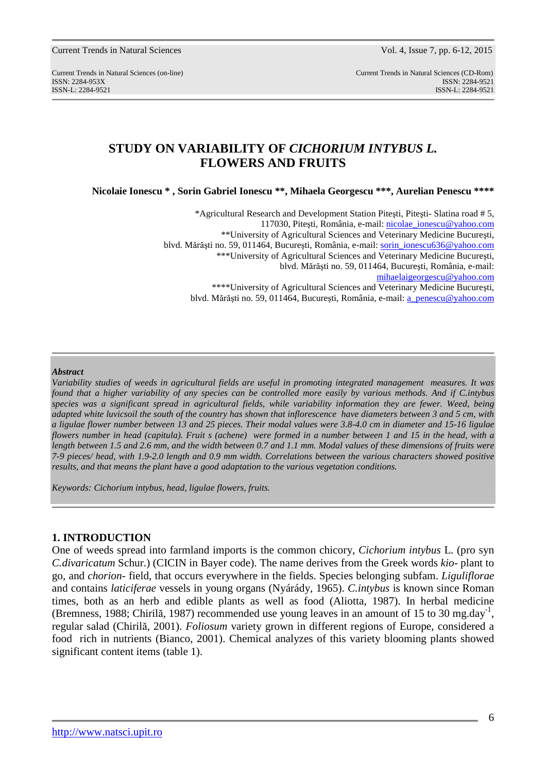Current Trends in Natural Sciences Vol. 4, Issue 7, pp. 6-12, 2015

Current Trends in Natural Sciences (on-line) Current Trends in Natural Sciences (CD-Rom) ISSN: 2284-953XISSN: 2284-9521 ISSN-L: 2284-9521 ISSN-L: 2284-9521

# **STUDY ON VARIABILITY OF** *CICHORIUM INTYBUS L.* **FLOWERS AND FRUITS**

**Nicolaie Ionescu \* , Sorin Gabriel Ionescu \*\*, Mihaela Georgescu \*\*\*, Aurelian Penescu \*\*\*\*** 

\*Agricultural Research and Development Station Piteşti, Piteşti- Slatina road # 5, 117030, Piteşti, România, e-mail: nicolae\_ionescu@yahoo.com \*\*University of Agricultural Sciences and Veterinary Medicine Bucureşti, blvd. Mărăşti no. 59, 011464, Bucureşti, România, e-mail: sorin\_ionescu636@yahoo.com \*\*\*University of Agricultural Sciences and Veterinary Medicine Bucureşti, blvd. Mărăşti no. 59, 011464, Bucureşti, România, e-mail: mihaelaigeorgescu@yahoo.com \*\*\*\*University of Agricultural Sciences and Veterinary Medicine Bucuresti, blvd. Mărăști no. 59, 011464, București, România, e-mail: a penescu@yahoo.com

#### *Abstract*

*Variability studies of weeds in agricultural fields are useful in promoting integrated management measures. It was found that a higher variability of any species can be controlled more easily by various methods. And if C.intybus species was a significant spread in agricultural fields, while variability information they are fewer. Weed, being adapted white luvicsoil the south of the country has shown that inflorescence have diameters between 3 and 5 cm, with a ligulae flower number between 13 and 25 pieces. Their modal values were 3.8-4.0 cm in diameter and 15-16 ligulae flowers number in head (capitula). Fruit s (achene) were formed in a number between 1 and 15 in the head, with a length between 1.5 and 2.6 mm, and the width between 0.7 and 1.1 mm. Modal values of these dimensions of fruits were 7-9 pieces/ head, with 1.9-2.0 length and 0.9 mm width. Correlations between the various characters showed positive results, and that means the plant have a good adaptation to the various vegetation conditions.* 

*Keywords: Cichorium intybus, head, ligulae flowers, fruits.* 

#### **1. INTRODUCTION**

One of weeds spread into farmland imports is the common chicory, *Cichorium intybus* L. (pro syn *C.divaricatum* Schur.) (CICIN in Bayer code). The name derives from the Greek words *kio*- plant to go, and *chorion*- field, that occurs everywhere in the fields. Species belonging subfam. *Liguliflorae* and contains *laticiferae* vessels in young organs (Nyárády, 1965). *C.intybus* is known since Roman times, both as an herb and edible plants as well as food (Aliotta, 1987). In herbal medicine (Bremness, 1988; Chirilă, 1987) recommended use young leaves in an amount of 15 to 30 mg.day<sup>-1</sup>, regular salad (Chirilă, 2001). *Foliosum* variety grown in different regions of Europe, considered a food rich in nutrients (Bianco, 2001). Chemical analyzes of this variety blooming plants showed significant content items (table 1).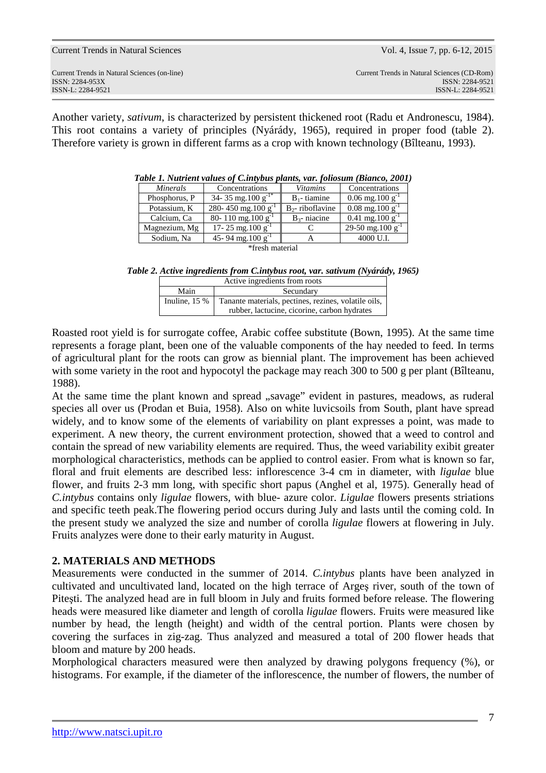| Current Trends in Natural Sciences                                                   | Vol. 4, Issue 7, pp. 6-12, 2015                                                     |
|--------------------------------------------------------------------------------------|-------------------------------------------------------------------------------------|
| Current Trends in Natural Sciences (on-line)<br>ISSN: 2284-953X<br>ISSN-L: 2284-9521 | Current Trends in Natural Sciences (CD-Rom)<br>ISSN: 2284-9521<br>ISSN-L: 2284-9521 |
|                                                                                      |                                                                                     |

Another variety, *sativum*, is characterized by persistent thickened root (Radu et Andronescu, 1984). This root contains a variety of principles (Nyárády, 1965), required in proper food (table 2). Therefore variety is grown in different farms as a crop with known technology (Bîlteanu, 1993).

|                 | raow 1. Francus railws of Clintrous plants, raft follosam (Dianco, 2001) |                    |                                      |  |  |
|-----------------|--------------------------------------------------------------------------|--------------------|--------------------------------------|--|--|
| <i>Minerals</i> | Concentrations                                                           | <i>Vitamins</i>    | Concentrations                       |  |  |
| Phosphorus, P   | 34-35 mg.100 g <sup>-1</sup>                                             | $B_1$ - tiamine    | $0.06 \text{ mg}.100 \text{ g}^{-1}$ |  |  |
| Potassium. K    | 280-450 mg.100 g                                                         | $B_2$ -riboflavine | $0.08 \text{ mg}.100 \text{ g}^{-1}$ |  |  |
| Calcium, Ca     | 80-110 mg.100 g <sup>-1</sup>                                            | $B_3$ - niacine    | $0.41$ mg.100 g <sup>-1</sup>        |  |  |
| Magnezium, Mg   | 17-25 mg.100 $g^{-1}$                                                    |                    | 29-50 mg.100 g <sup>-1</sup>         |  |  |
| Sodium, Na      | 45-94 mg.100 $g^{-1}$                                                    |                    | 4000 U.I.                            |  |  |
| $*front$        |                                                                          |                    |                                      |  |  |

| Table 1. Nutrient values of C.intybus plants, var. foliosum (Bianco, 2001) |  |  |  |  |
|----------------------------------------------------------------------------|--|--|--|--|
|----------------------------------------------------------------------------|--|--|--|--|

\*fresh material

*Table 2. Active ingredients from C.intybus root, var. sativum (Nyárády, 1965)* 

| Active ingredients from roots                                                                                          |  |  |  |
|------------------------------------------------------------------------------------------------------------------------|--|--|--|
| Main<br>Secundary                                                                                                      |  |  |  |
| Inuline, $15%$<br>Tanante materials, pectines, rezines, volatile oils,<br>rubber, lactucine, cicorine, carbon hydrates |  |  |  |
|                                                                                                                        |  |  |  |

Roasted root yield is for surrogate coffee, Arabic coffee substitute (Bown, 1995). At the same time represents a forage plant, been one of the valuable components of the hay needed to feed. In terms of agricultural plant for the roots can grow as biennial plant. The improvement has been achieved with some variety in the root and hypocotyl the package may reach 300 to 500 g per plant (Bîlteanu, 1988).

At the same time the plant known and spread "savage" evident in pastures, meadows, as ruderal species all over us (Prodan et Buia, 1958). Also on white luvicsoils from South, plant have spread widely, and to know some of the elements of variability on plant expresses a point, was made to experiment. A new theory, the current environment protection, showed that a weed to control and contain the spread of new variability elements are required. Thus, the weed variability exibit greater morphological characteristics, methods can be applied to control easier. From what is known so far, floral and fruit elements are described less: inflorescence 3-4 cm in diameter, with *ligulae* blue flower, and fruits 2-3 mm long, with specific short papus (Anghel et al, 1975). Generally head of *C.intybus* contains only *ligulae* flowers, with blue- azure color. *Ligulae* flowers presents striations and specific teeth peak.The flowering period occurs during July and lasts until the coming cold. In the present study we analyzed the size and number of corolla *ligulae* flowers at flowering in July. Fruits analyzes were done to their early maturity in August.

### **2. MATERIALS AND METHODS**

Measurements were conducted in the summer of 2014. *C.intybus* plants have been analyzed in cultivated and uncultivated land, located on the high terrace of Argeş river, south of the town of Piteşti. The analyzed head are in full bloom in July and fruits formed before release. The flowering heads were measured like diameter and length of corolla *ligulae* flowers. Fruits were measured like number by head, the length (height) and width of the central portion. Plants were chosen by covering the surfaces in zig-zag. Thus analyzed and measured a total of 200 flower heads that bloom and mature by 200 heads.

Morphological characters measured were then analyzed by drawing polygons frequency (%), or histograms. For example, if the diameter of the inflorescence, the number of flowers, the number of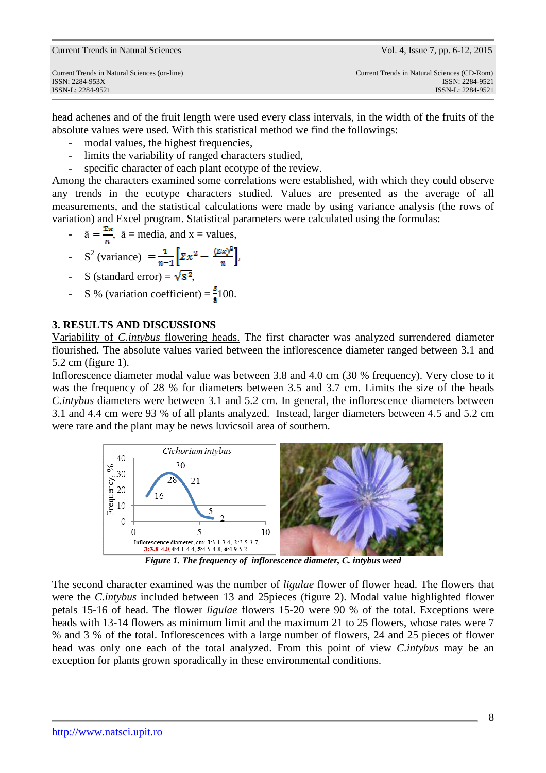| Current Trends in Natural Sciences (on-line) | Current Trends in Natural Sciences (CD-Rom) |
|----------------------------------------------|---------------------------------------------|
| ISSN: 2284-953X                              | ISSN: 2284-9521                             |
| ISSN-L: 2284-9521                            | ISSN-L: 2284-9521                           |
|                                              |                                             |

Current Trends in Natural Sciences Vol. 4, Issue 7, pp. 6-12, 2015

head achenes and of the fruit length were used every class intervals, in the width of the fruits of the absolute values were used. With this statistical method we find the followings:

- modal values, the highest frequencies,
- limits the variability of ranged characters studied,
- specific character of each plant ecotype of the review.

Among the characters examined some correlations were established, with which they could observe any trends in the ecotype characters studied. Values are presented as the average of all measurements, and the statistical calculations were made by using variance analysis (the rows of variation) and Excel program. Statistical parameters were calculated using the formulas:

$$
-\overline{a} = \frac{2\pi}{n}, \overline{a} = \text{media, and } x = \text{values,}
$$

$$
\int_{0}^{2} \text{(variance)} = \frac{1}{n-1} \left[ \sum_{n=1}^{n} x^{2} - \frac{(\sum x)^{2}}{n} \right],
$$

- S (standard error) =  $\sqrt{S^2}$ ,
- S % (variation coefficient) =  $\frac{s}{7}$ 100.

### **3. RESULTS AND DISCUSSIONS**

Variability of *C.intybus* flowering heads. The first character was analyzed surrendered diameter flourished. The absolute values varied between the inflorescence diameter ranged between 3.1 and 5.2 cm (figure 1).

Inflorescence diameter modal value was between 3.8 and 4.0 cm (30 % frequency). Very close to it was the frequency of 28 % for diameters between 3.5 and 3.7 cm. Limits the size of the heads *C.intybus* diameters were between 3.1 and 5.2 cm. In general, the inflorescence diameters between 3.1 and 4.4 cm were 93 % of all plants analyzed. Instead, larger diameters between 4.5 and 5.2 cm were rare and the plant may be news luvicsoil area of southern.



*Figure 1. The frequency of inflorescence diameter, C. intybus weed* 

The second character examined was the number of *ligulae* flower of flower head. The flowers that were the *C.intybus* included between 13 and 25pieces (figure 2). Modal value highlighted flower petals 15-16 of head. The flower *ligulae* flowers 15-20 were 90 % of the total. Exceptions were heads with 13-14 flowers as minimum limit and the maximum 21 to 25 flowers, whose rates were 7 % and 3 % of the total. Inflorescences with a large number of flowers, 24 and 25 pieces of flower head was only one each of the total analyzed. From this point of view *C.intybus* may be an exception for plants grown sporadically in these environmental conditions.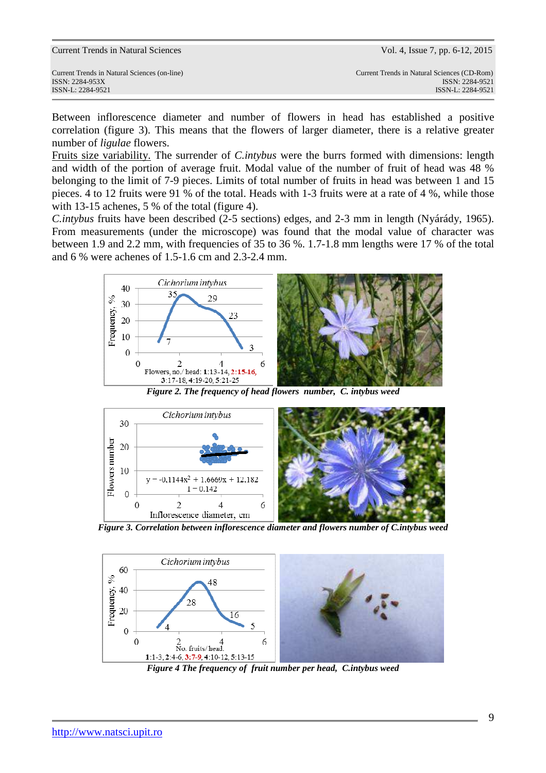| <b>Current Trends in Natural Sciences</b> |  |  |  |  |  |
|-------------------------------------------|--|--|--|--|--|
|-------------------------------------------|--|--|--|--|--|

Between inflorescence diameter and number of flowers in head has established a positive correlation (figure 3). This means that the flowers of larger diameter, there is a relative greater number of *ligulae* flowers.

Fruits size variability. The surrender of *C.intybus* were the burrs formed with dimensions: length and width of the portion of average fruit. Modal value of the number of fruit of head was 48 % belonging to the limit of 7-9 pieces. Limits of total number of fruits in head was between 1 and 15 pieces. 4 to 12 fruits were 91 % of the total. Heads with 1-3 fruits were at a rate of 4 %, while those with 13-15 achenes, 5 % of the total (figure 4).

*C.intybus* fruits have been described (2-5 sections) edges, and 2-3 mm in length (Nyárády, 1965). From measurements (under the microscope) was found that the modal value of character was between 1.9 and 2.2 mm, with frequencies of 35 to 36 %. 1.7-1.8 mm lengths were 17 % of the total and 6 % were achenes of 1.5-1.6 cm and 2.3-2.4 mm.



*Figure 2. The frequency of head flowers number, C. intybus weed* 



*Figure 3. Correlation between inflorescence diameter and flowers number of C.intybus weed* 



*Figure 4 The frequency of fruit number per head, C.intybus weed*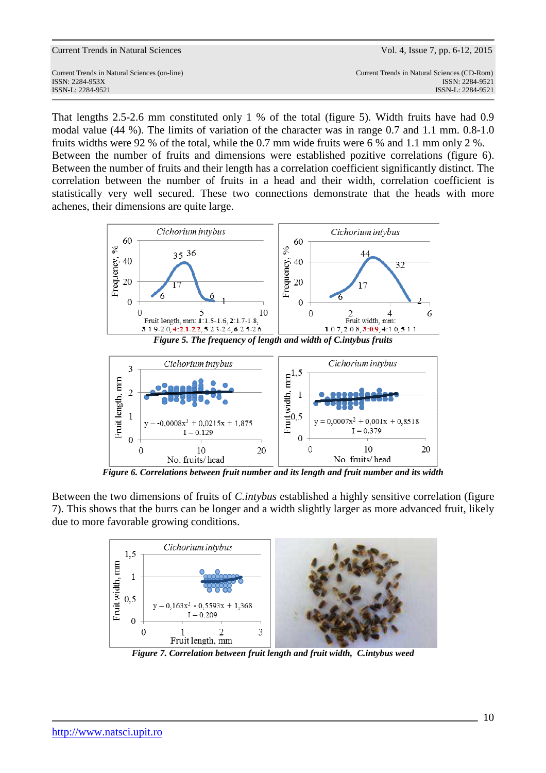| <b>Current Trends in Natural Sciences</b> |  |  |
|-------------------------------------------|--|--|
|-------------------------------------------|--|--|

That lengths 2.5-2.6 mm constituted only 1 % of the total (figure 5). Width fruits have had 0.9 modal value (44 %). The limits of variation of the character was in range 0.7 and 1.1 mm. 0.8-1.0 fruits widths were 92 % of the total, while the 0.7 mm wide fruits were 6 % and 1.1 mm only 2 %. Between the number of fruits and dimensions were established pozitive correlations (figure 6). Between the number of fruits and their length has a correlation coefficient significantly distinct. The correlation between the number of fruits in a head and their width, correlation coefficient is statistically very well secured. These two connections demonstrate that the heads with more achenes, their dimensions are quite large.





*Figure 6. Correlations between fruit number and its length and fruit number and its width* 

Between the two dimensions of fruits of *C.intybus* established a highly sensitive correlation (figure 7). This shows that the burrs can be longer and a width slightly larger as more advanced fruit, likely due to more favorable growing conditions.



*Figure 7. Correlation between fruit length and fruit width, C.intybus weed*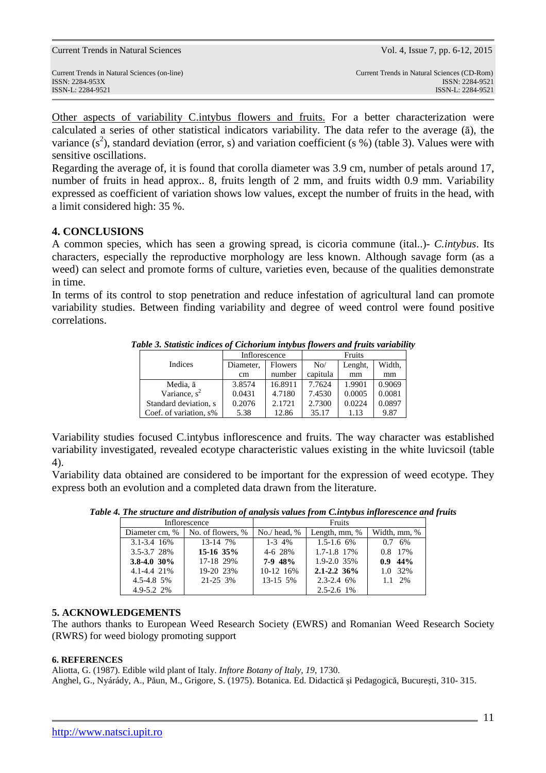Current Trends in Natural Sciences Vol. 4, Issue 7, pp. 6-12, 2015

Other aspects of variability C.intybus flowers and fruits. For a better characterization were calculated a series of other statistical indicators variability. The data refer to the average (ā), the variance  $(s^2)$ , standard deviation (error, s) and variation coefficient (s %) (table 3). Values were with sensitive oscillations.

Regarding the average of, it is found that corolla diameter was 3.9 cm, number of petals around 17, number of fruits in head approx.. 8, fruits length of 2 mm, and fruits width 0.9 mm. Variability expressed as coefficient of variation shows low values, except the number of fruits in the head, with a limit considered high: 35 %.

## **4. CONCLUSIONS**

A common species, which has seen a growing spread, is cicoria commune (ital..)- *C.intybus*. Its characters, especially the reproductive morphology are less known. Although savage form (as a weed) can select and promote forms of culture, varieties even, because of the qualities demonstrate in time.

In terms of its control to stop penetration and reduce infestation of agricultural land can promote variability studies. Between finding variability and degree of weed control were found positive correlations.

|                        | Inflorescence |         | Fruits   |         |        |  |
|------------------------|---------------|---------|----------|---------|--------|--|
| Indices                | Diameter,     | Flowers | No/      | Lenght, | Width, |  |
|                        | cm            | number  | capitula | mm      | mm     |  |
| Media, ā               | 3.8574        | 16.8911 | 7.7624   | 1.9901  | 0.9069 |  |
| Variance, $s^2$        | 0.0431        | 4.7180  | 7.4530   | 0.0005  | 0.0081 |  |
| Standard deviation, s  | 0.2076        | 2.1721  | 2.7300   | 0.0224  | 0.0897 |  |
| Coef. of variation, s% | 5.38          | 12.86   | 35.17    | 1.13    | 9.87   |  |

*Table 3. Statistic indices of Cichorium intybus flowers and fruits variability* 

Variability studies focused C.intybus inflorescence and fruits. The way character was established variability investigated, revealed ecotype characteristic values existing in the white luvicsoil (table 4).

Variability data obtained are considered to be important for the expression of weed ecotype. They express both an evolution and a completed data drawn from the literature.

| Table 4. The structure and distribution of analysis values from C.intybus inflorescence and fruits |  |  |  |  |
|----------------------------------------------------------------------------------------------------|--|--|--|--|
|                                                                                                    |  |  |  |  |

|                 | Inflorescence     |                | Fruits          |                 |
|-----------------|-------------------|----------------|-----------------|-----------------|
| Diameter cm, %  | No. of flowers, % | $No./$ head, % | Length, mm, %   | Width, mm, %    |
| 3.1-3.4 16%     | 13-14 7%          | $1 - 3 \, 4\%$ | $1.5 - 1.6$ 6%  | $0.7, 6\%$      |
| 3.5-3.7 28%     | $15-16$ 35%       | 4-6 28%        | 1.7-1.8 17%     | 0.8 17%         |
| $3.8 - 4.0$ 30% | 17-18 29%         | $7-9$ 48%      | 1.9-2.0 35%     | $0.9$ 44%       |
| 4.1-4.4 21%     | 19-20 23%         | 10-12 16%      | $2.1 - 2.2$ 36% | 1.0 32%         |
| $4.5 - 4.8$ 5%  | 21-25 3%          | 13-15 5%       | $2.3 - 2.4$ 6%  | $1.1 \quad 2\%$ |
| $4.9 - 5.2$ 2%  |                   |                | $2.5 - 2.6$ 1%  |                 |

### **5. ACKNOWLEDGEMENTS**

The authors thanks to European Weed Research Society (EWRS) and Romanian Weed Research Society (RWRS) for weed biology promoting support

#### **6. REFERENCES**

Aliotta, G. (1987). Edible wild plant of Italy. *Inftore Botany of Italy, 19*, 1730. Anghel, G., Nyárády, A., Păun, M., Grigore, S. (1975). Botanica. Ed. Didactică şi Pedagogică, Bucureşti, 310- 315.